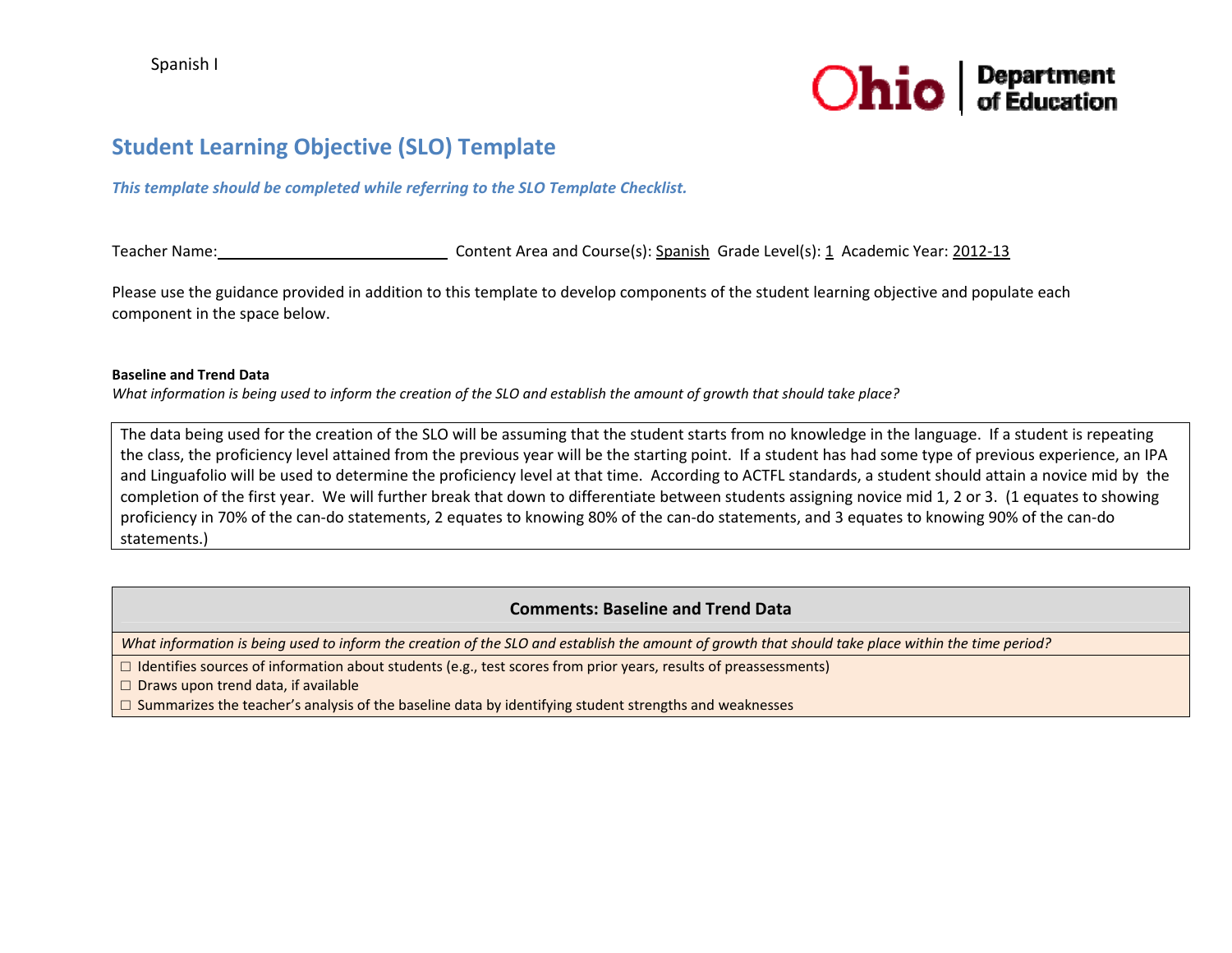

# **Student Learning Objective (SLO) Template**

### *This template should be completed while referring to the SLO Template Checklist.*

Teacherr Name: \_\_\_\_\_\_\_\_\_\_\_\_\_\_\_\_\_\_\_\_\_\_\_\_\_\_\_\_\_\_\_\_\_Content Area and Course(s): <u>Spanish</u> Grade Level(s): <u>1</u> Academic Year: <u>2012-13</u>

Please use the guidance provided in addition to this template to develop components of the student learning objective and populate each component in the space below.

#### **Baseline and Trend Data**

What information is being used to inform the creation of the SLO and establish the amount of growth that should take place?

The data being used for the creation of the SLO will be assuming that the student starts from no knowledge in the language. If <sup>a</sup> student is repeating the class, the proficiency level attained from the previous year will be the starting point. If <sup>a</sup> student has had some type of previous experience, an IPA and Linguafolio will be used to determine the proficiency level at that time. According to ACTFL standards, <sup>a</sup> student should attain <sup>a</sup> novice mid by the completion of the first year. We will further break that down to differentiate between students assigning novice mid 1, 2 or 3. (1 equates to showing proficiency in 70% of the can‐do statements, 2 equates to knowing 80% of the can‐do statements, and 3 equates to knowing 90% of the can‐do statements.)

# **Comments: Baseline and Trend Data**

What information is being used to inform the creation of the SLO and establish the amount of growth that should take place within the time period?

□ Identifies sources of information about students (e.g., test scores from prior years, results of preassessments)

□ Draws upon trend data, if available

 $\square$  Summarizes the teacher's analysis of the baseline data by identifying student strengths and weaknesses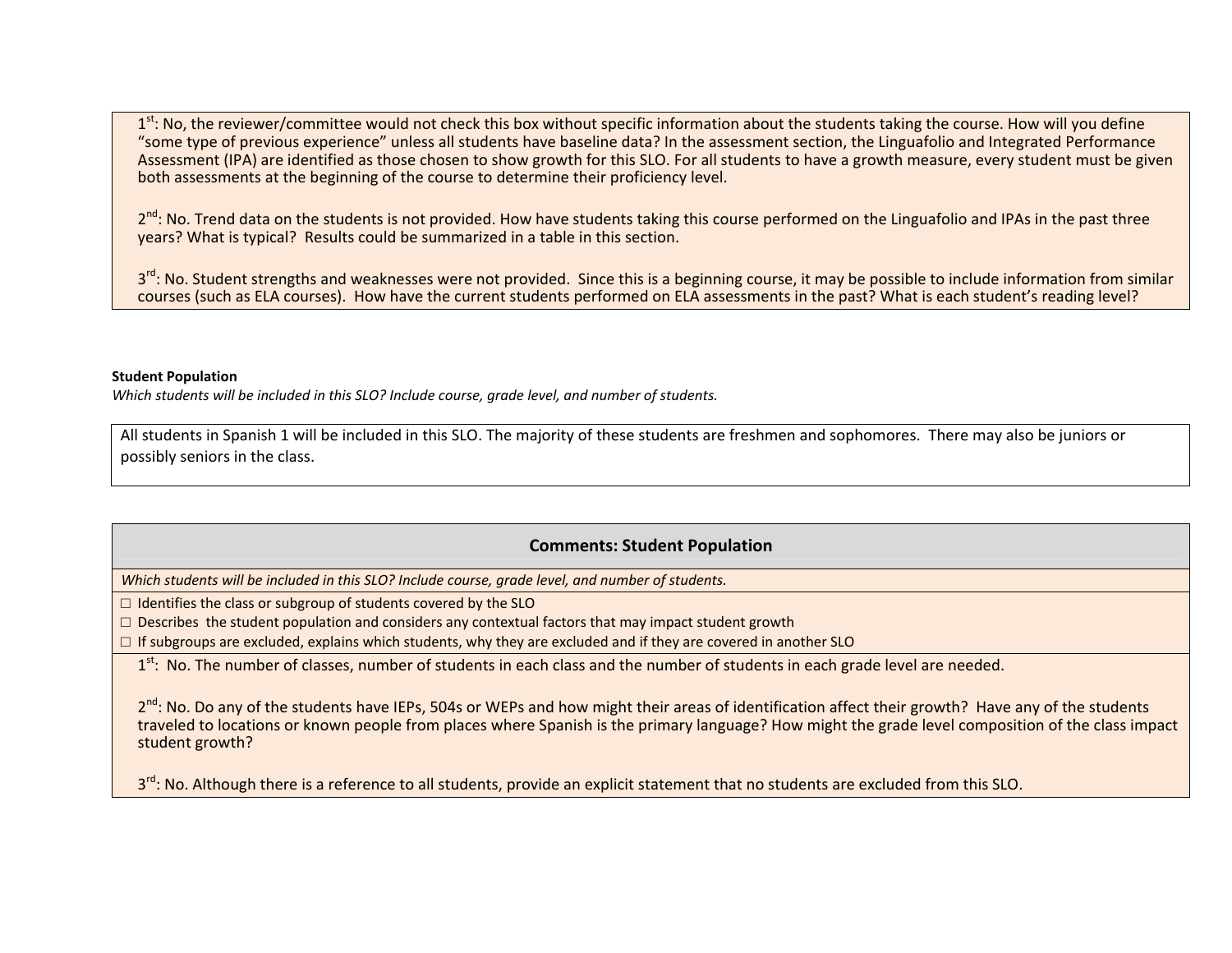1<sup>st</sup>: No, the reviewer/committee would not check this box without specific information about the students taking the course. How will you define "some type of previous experience" unless all students have baseline data? In the assessment section, the Linguafolio and Integrated Performance Assessment (IPA) are identified as those chosen to show growth for this SLO. For all students to have <sup>a</sup> growth measure, every student must be given both assessments at the beginning of the course to determine their proficiency level.

2<sup>nd</sup>: No. Trend data on the students is not provided. How have students taking this course performed on the Linguafolio and IPAs in the past three years? What is typical? Results could be summarized in <sup>a</sup> table in this section.

3<sup>rd</sup>: No. Student strengths and weaknesses were not provided. Since this is a beginning course, it may be possible to include information from similar courses (such as ELA courses). How have the current students performed on ELA assessments in the past? What is each student's reading level?

#### **Student Population**

*Which students will be included in this SLO? Include course, grade level, and number of students.*

All students in Spanish 1 will be included in this SLO. The majority of these students are freshmen and sophomores. There may also be juniors or possibly seniors in the class.

# **Comments: Student Population**

*Which students will be included in this SLO? Include course, grade level, and number of students.*

 $\Box$  Identifies the class or subgroup of students covered by the SLO

 $\square$  Describes the student population and considers any contextual factors that may impact student growth

 $\Box$  If subgroups are excluded, explains which students, why they are excluded and if they are covered in another SLO

1<sup>st</sup>: No. The number of classes, number of students in each class and the number of students in each grade level are needed.

2<sup>nd</sup>: No. Do any of the students have IEPs, 504s or WEPs and how might their areas of identification affect their growth? Have any of the students traveled to locations or known people from places where Spanish is the primary language? How might the grade level composition of the class impact student growth?

3<sup>rd</sup>: No. Although there is a reference to all students, provide an explicit statement that no students are excluded from this SLO.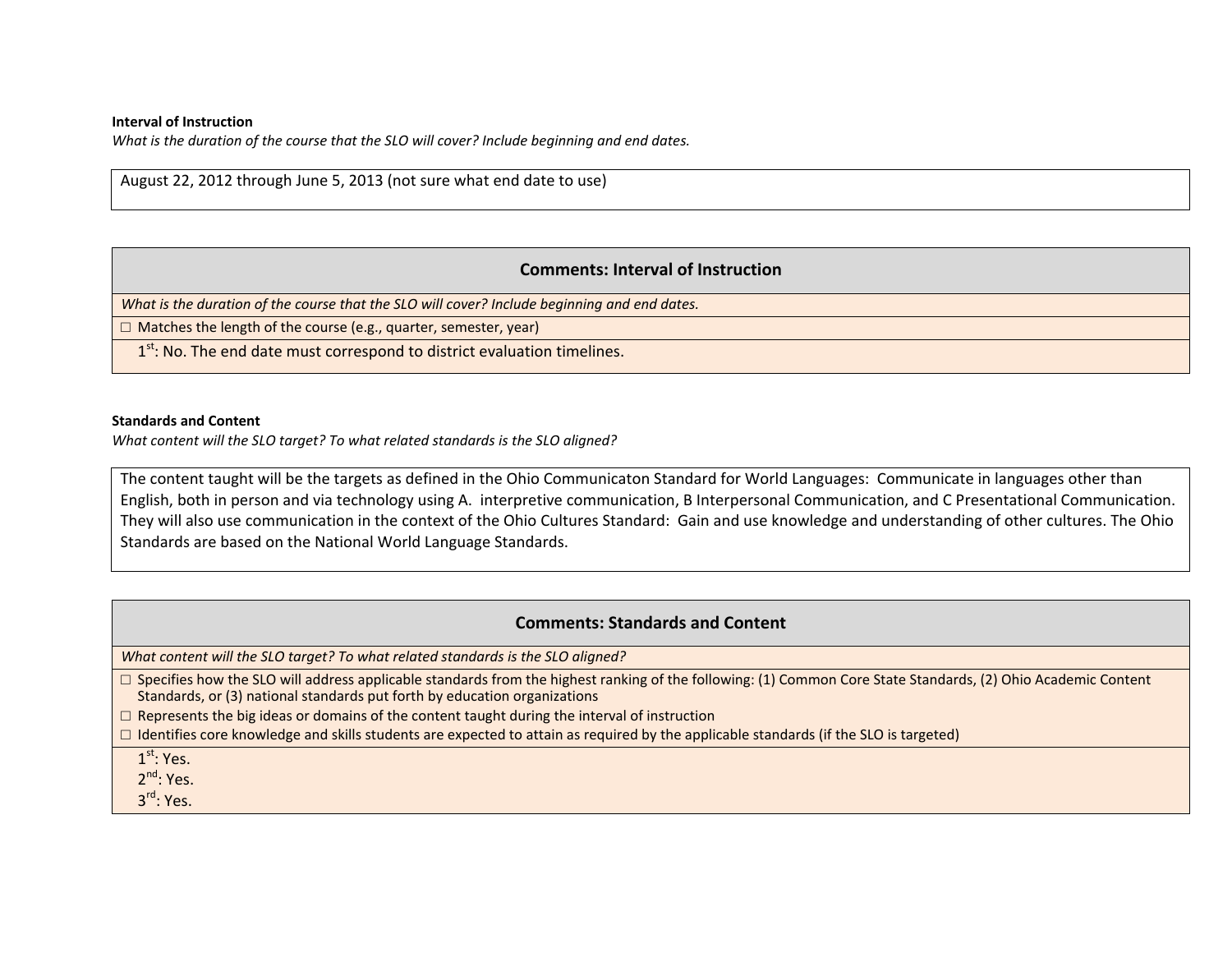#### **Interval of Instruction**

*What is the duration of the course that the SLO will cover? Include beginning and end dates.*

August 22, 2012 through June 5, 2013 (not sure what end date to use)

# **Comments: Interval of Instruction**

*What is the duration of the course that the SLO will cover? Include beginning and end dates.*

□ Matches the length of the course (e.g., quarter, semester, year)

 $1<sup>st</sup>$ : No. The end date must correspond to district evaluation timelines.

#### **Standards and Content**

*What content will the SLO target? To what related standards is the SLO aligned?*

The content taught will be the targets as defined in the Ohio Communicaton Standard for World Languages: Communicate in languages other than English, both in person and via technology using A. interpretive communication, B Interpersonal Communication, and C Presentational Communication. They will also use communication in the context of the Ohio Cultures Standard: Gain and use knowledge and understanding of other cultures. The Ohio Standards are based on the National World Language Standards.

# **Comments: Standards and Content**

*What content will the SLO target? To what related standards is the SLO aligned?*

□ Specifies how the SLO will address applicable standards from the highest ranking of the following: (1) Common Core State Standards, (2) Ohio Academic Content Standards, or (3) national standards put forth by education organizations

 $\Box$  Represents the big ideas or domains of the content taught during the interval of instruction

□ Identifies core knowledge and skills students are expected to attain as required by the applicable standards (if the SLO is targeted)

 $1^{\rm st}$ : Yes.

2<sup>nd</sup>: Yes.

3<sup>rd</sup>: Yes.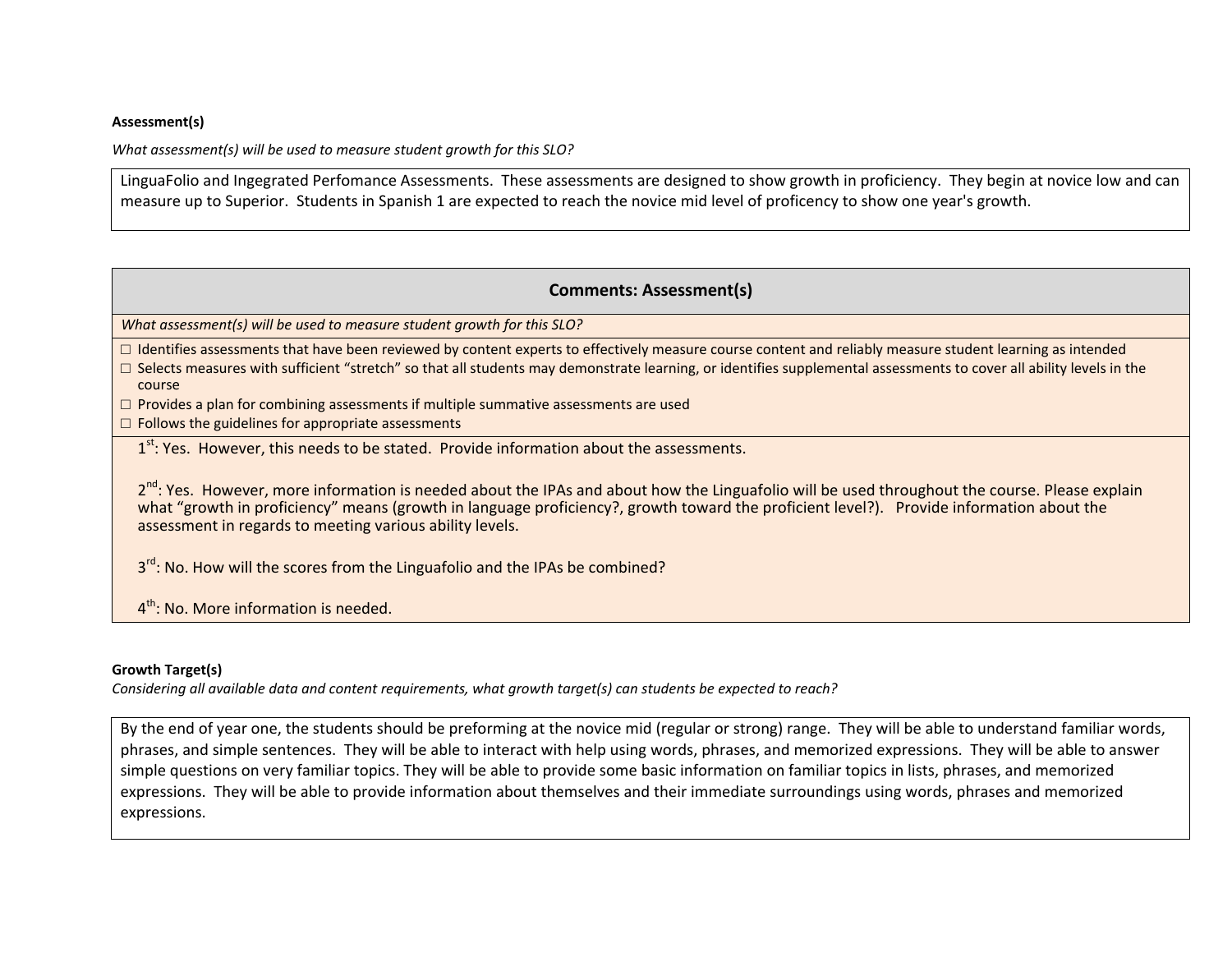#### **Assessment(s)**

*What assessment(s) will be used to measure student growth for this SLO?*

LinguaFolio and Ingegrated Perfomance Assessments. These assessments are designed to show growth in proficiency. They begin at novice low and can measure up to Superior. Students in Spanish 1 are expected to reach the novice mid level of proficency to show one year's growth.

## **Comments: Assessment(s)**

*What assessment(s) will be used to measure student growth for this SLO?*

□ Identifies assessments that have been reviewed by content experts to effectively measure course content and reliably measure student learning as intended

□ Selects measures with sufficient "stretch" so that all students may demonstrate learning, or identifies supplemental assessments to cover all ability levels in the course

 $\Box$  Provides a plan for combining assessments if multiple summative assessments are used

 $\square$  Follows the guidelines for appropriate assessments

1<sup>st</sup>: Yes. However, this needs to be stated. Provide information about the assessments.

2<sup>nd</sup>: Yes. However, more information is needed about the IPAs and about how the Linguafolio will be used throughout the course. Please explain what "growth in proficiency" means (growth in language proficiency?, growth toward the proficient level?). Provide information about the assessment in regards to meeting various ability levels.

3<sup>rd</sup>: No. How will the scores from the Linguafolio and the IPAs be combined?

 $4^{\text{th}}$ : No. More information is needed.

### **Growth Target(s)**

Considering all available data and content requirements, what growth target(s) can students be expected to reach?

By the end of year one, the students should be preforming at the novice mid (regular or strong) range. They will be able to understand familiar words, phrases, and simple sentences. They will be able to interact with help using words, phrases, and memorized expressions. They will be able to answer simple questions on very familiar topics. They will be able to provide some basic information on familiar topics in lists, phrases, and memorized expressions. They will be able to provide information about themselves and their immediate surroundings using words, phrases and memorized expressions.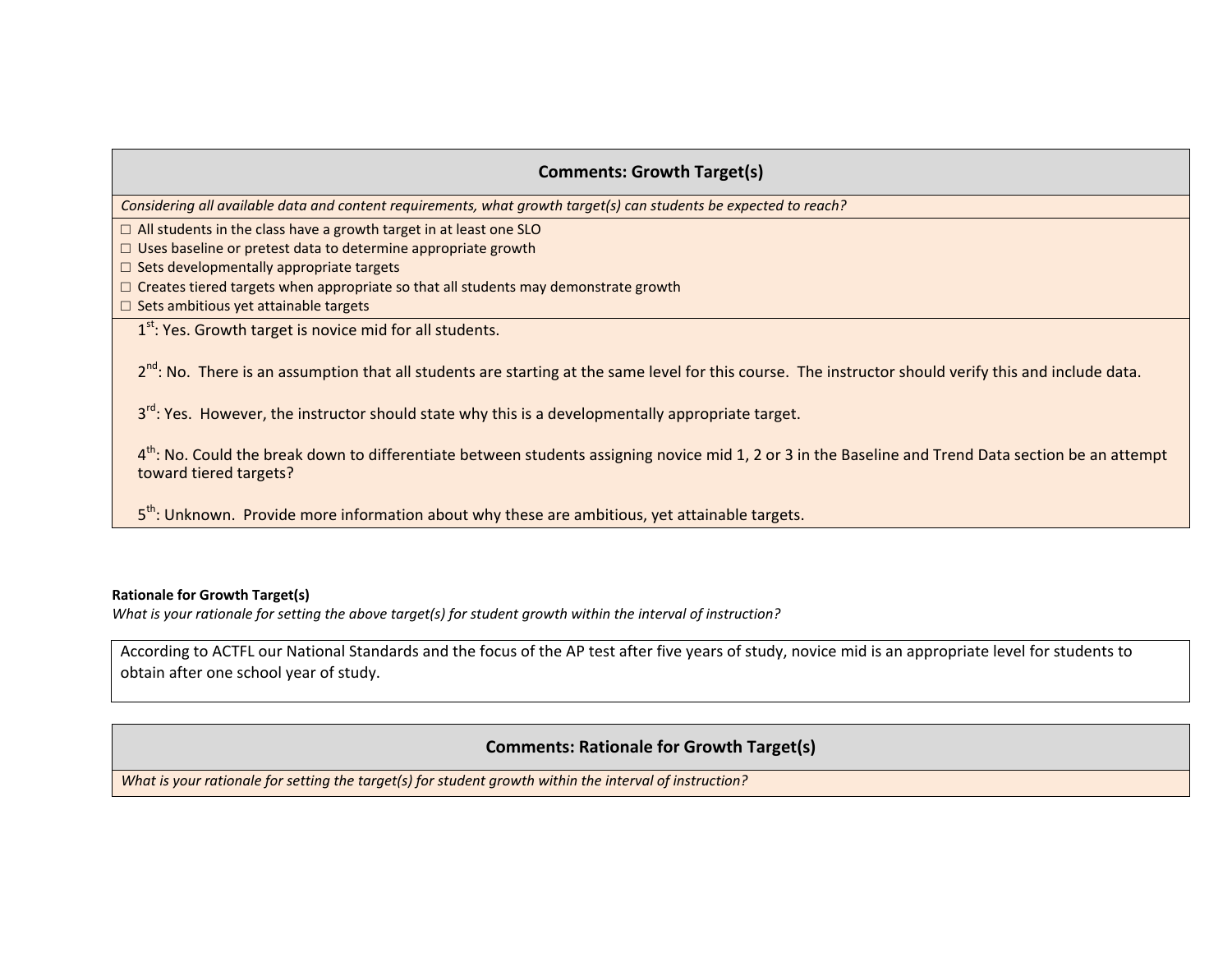# **Comments: Growth Target(s)**

Considering all available data and content requirements, what growth target(s) can students be expected to reach?

 $\Box$  All students in the class have a growth target in at least one SLO

 $\Box$  Uses baseline or pretest data to determine appropriate growth

□ Sets developmentally appropriate targets

 $\Box$  Creates tiered targets when appropriate so that all students may demonstrate growth

□ Sets ambitious yet attainable targets

 $1<sup>st</sup>$ : Yes. Growth target is novice mid for all students.

2<sup>nd</sup>: No. There is an assumption that all students are starting at the same level for this course. The instructor should verify this and include data.

3<sup>rd</sup>: Yes. However, the instructor should state why this is a developmentally appropriate target.

4<sup>th</sup>: No. Could the break down to differentiate between students assigning novice mid 1, 2 or 3 in the Baseline and Trend Data section be an attempt toward tiered targets?

5<sup>th</sup>: Unknown. Provide more information about why these are ambitious, yet attainable targets.

#### **Rationale for Growth Target(s)**

What is your rationale for setting the above target(s) for student growth within the interval of instruction?

According to ACTFL our National Standards and the focus of the AP test after five years of study, novice mid is an appropriate level for students to obtain after one school year of study.

# **Comments: Rationale for Growth Target(s)**

*What is your rationale for setting the target(s) for student growth within the interval of instruction?*